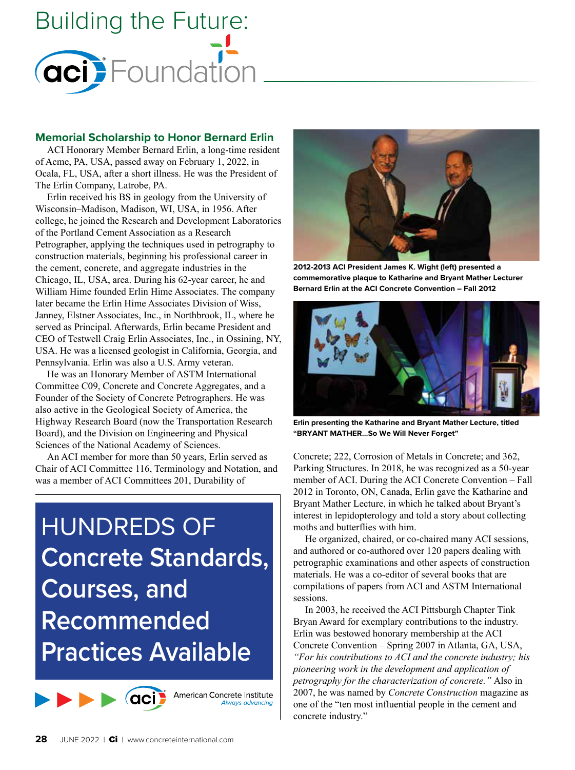

### **Memorial Scholarship to Honor Bernard Erlin**

ACI Honorary Member Bernard Erlin, a long-time resident of Acme, PA, USA, passed away on February 1, 2022, in Ocala, FL, USA, after a short illness. He was the President of The Erlin Company, Latrobe, PA.

Erlin received his BS in geology from the University of Wisconsin–Madison, Madison, WI, USA, in 1956. After college, he joined the Research and Development Laboratories of the Portland Cement Association as a Research Petrographer, applying the techniques used in petrography to construction materials, beginning his professional career in the cement, concrete, and aggregate industries in the Chicago, IL, USA, area. During his 62-year career, he and William Hime founded Erlin Hime Associates. The company later became the Erlin Hime Associates Division of Wiss, Janney, Elstner Associates, Inc., in Northbrook, IL, where he served as Principal. Afterwards, Erlin became President and CEO of Testwell Craig Erlin Associates, Inc., in Ossining, NY, USA. He was a licensed geologist in California, Georgia, and Pennsylvania. Erlin was also a U.S. Army veteran.

He was an Honorary Member of ASTM International Committee C09, Concrete and Concrete Aggregates, and a Founder of the Society of Concrete Petrographers. He was also active in the Geological Society of America, the Highway Research Board (now the Transportation Research Board), and the Division on Engineering and Physical Sciences of the National Academy of Sciences.

An ACI member for more than 50 years, Erlin served as Chair of ACI Committee 116, Terminology and Notation, and was a member of ACI Committees 201, Durability of

HUNDREDS OF **Concrete Standards, Courses, and Recommended Practices Available** 

> American Concrete Institute Always advancing



**2012-2013 ACI President James K. Wight (left) presented a commemorative plaque to Katharine and Bryant Mather Lecturer Bernard Erlin at the ACI Concrete Convention – Fall 2012**



**Erlin presenting the Katharine and Bryant Mather Lecture, titled "BRYANT MATHER…So We Will Never Forget"**

Concrete; 222, Corrosion of Metals in Concrete; and 362, Parking Structures. In 2018, he was recognized as a 50-year member of ACI. During the ACI Concrete Convention – Fall 2012 in Toronto, ON, Canada, Erlin gave the Katharine and Bryant Mather Lecture, in which he talked about Bryant's interest in lepidopterology and told a story about collecting moths and butterflies with him.

He organized, chaired, or co-chaired many ACI sessions, and authored or co-authored over 120 papers dealing with petrographic examinations and other aspects of construction materials. He was a co-editor of several books that are compilations of papers from ACI and ASTM International sessions.

In 2003, he received the ACI Pittsburgh Chapter Tink Bryan Award for exemplary contributions to the industry. Erlin was bestowed honorary membership at the ACI Concrete Convention – Spring 2007 in Atlanta, GA, USA, *"For his contributions to ACI and the concrete industry; his pioneering work in the development and application of petrography for the characterization of concrete."* Also in 2007, he was named by *Concrete Construction* magazine as one of the "ten most influential people in the cement and concrete industry."

aci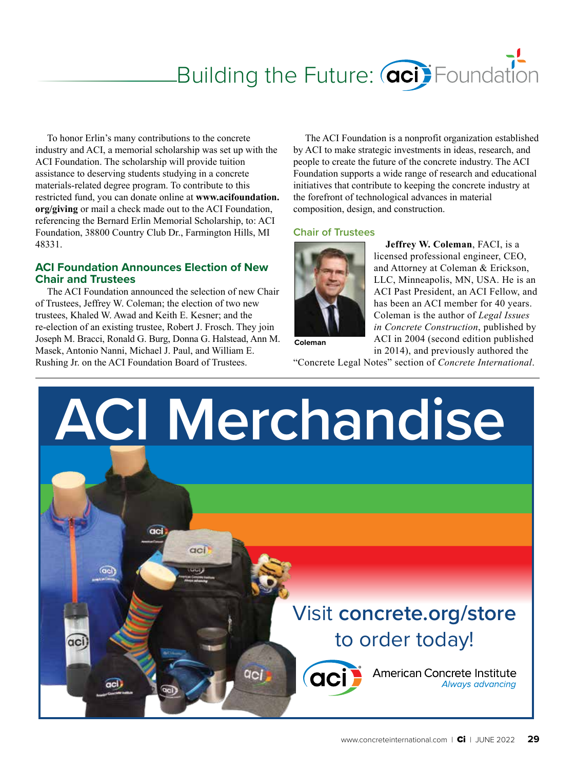# Building the Future: **aci** Foundation

To honor Erlin's many contributions to the concrete industry and ACI, a memorial scholarship was set up with the ACI Foundation. The scholarship will provide tuition assistance to deserving students studying in a concrete materials-related degree program. To contribute to this restricted fund, you can donate online at **[www.acifoundation.](http://www.acifoundation.org/giving) [org/giving](http://www.acifoundation.org/giving)** or mail a check made out to the ACI Foundation, referencing the Bernard Erlin Memorial Scholarship, to: ACI Foundation, 38800 Country Club Dr., Farmington Hills, MI 48331.

## **ACI Foundation Announces Election of New Chair and Trustees**

The ACI Foundation announced the selection of new Chair of Trustees, Jeffrey W. Coleman; the election of two new trustees, Khaled W. Awad and Keith E. Kesner; and the re-election of an existing trustee, Robert J. Frosch. They join Joseph M. Bracci, Ronald G. Burg, Donna G. Halstead, Ann M. Masek, Antonio Nanni, Michael J. Paul, and William E. Rushing Jr. on the ACI Foundation Board of Trustees.

The ACI Foundation is a nonprofit organization established by ACI to make strategic investments in ideas, research, and people to create the future of the concrete industry. The ACI Foundation supports a wide range of research and educational initiatives that contribute to keeping the concrete industry at the forefront of technological advances in material composition, design, and construction.

### **Chair of Trustees**



**Jeffrey W. Coleman**, FACI, is a licensed professional engineer, CEO, and Attorney at Coleman & Erickson, LLC, Minneapolis, MN, USA. He is an ACI Past President, an ACI Fellow, and has been an ACI member for 40 years. Coleman is the author of *Legal Issues in Concrete Construction*, published by ACI in 2004 (second edition published in 2014), and previously authored the

**Coleman** 

"Concrete Legal Notes" section of *Concrete International*.

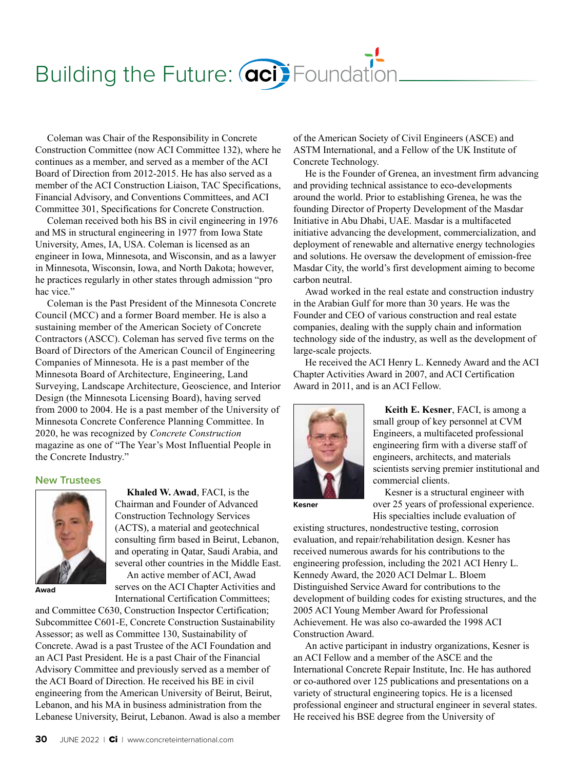# Building the Future: **aci** Foundation

Coleman was Chair of the Responsibility in Concrete Construction Committee (now ACI Committee 132), where he continues as a member, and served as a member of the ACI Board of Direction from 2012-2015. He has also served as a member of the ACI Construction Liaison, TAC Specifications, Financial Advisory, and Conventions Committees, and ACI Committee 301, Specifications for Concrete Construction.

Coleman received both his BS in civil engineering in 1976 and MS in structural engineering in 1977 from Iowa State University, Ames, IA, USA. Coleman is licensed as an engineer in Iowa, Minnesota, and Wisconsin, and as a lawyer in Minnesota, Wisconsin, Iowa, and North Dakota; however, he practices regularly in other states through admission "pro hac vice."

Coleman is the Past President of the Minnesota Concrete Council (MCC) and a former Board member. He is also a sustaining member of the American Society of Concrete Contractors (ASCC). Coleman has served five terms on the Board of Directors of the American Council of Engineering Companies of Minnesota. He is a past member of the Minnesota Board of Architecture, Engineering, Land Surveying, Landscape Architecture, Geoscience, and Interior Design (the Minnesota Licensing Board), having served from 2000 to 2004. He is a past member of the University of Minnesota Concrete Conference Planning Committee. In 2020, he was recognized by *Concrete Construction* magazine as one of "The Year's Most Influential People in the Concrete Industry."

### **New Trustees**



**Awad** 

**Khaled W. Awad**, FACI, is the Chairman and Founder of Advanced Construction Technology Services (ACTS), a material and geotechnical consulting firm based in Beirut, Lebanon, and operating in Qatar, Saudi Arabia, and several other countries in the Middle East. An active member of ACI, Awad serves on the ACI Chapter Activities and International Certification Committees;

and Committee C630, Construction Inspector Certification; Subcommittee C601-E, Concrete Construction Sustainability Assessor; as well as Committee 130, Sustainability of Concrete. Awad is a past Trustee of the ACI Foundation and an ACI Past President. He is a past Chair of the Financial Advisory Committee and previously served as a member of the ACI Board of Direction. He received his BE in civil engineering from the American University of Beirut, Beirut, Lebanon, and his MA in business administration from the Lebanese University, Beirut, Lebanon. Awad is also a member of the American Society of Civil Engineers (ASCE) and ASTM International, and a Fellow of the UK Institute of Concrete Technology.

He is the Founder of Grenea, an investment firm advancing and providing technical assistance to eco-developments around the world. Prior to establishing Grenea, he was the founding Director of Property Development of the Masdar Initiative in Abu Dhabi, UAE. Masdar is a multifaceted initiative advancing the development, commercialization, and deployment of renewable and alternative energy technologies and solutions. He oversaw the development of emission-free Masdar City, the world's first development aiming to become carbon neutral.

Awad worked in the real estate and construction industry in the Arabian Gulf for more than 30 years. He was the Founder and CEO of various construction and real estate companies, dealing with the supply chain and information technology side of the industry, as well as the development of large-scale projects.

He received the ACI Henry L. Kennedy Award and the ACI Chapter Activities Award in 2007, and ACI Certification Award in 2011, and is an ACI Fellow.



**Keith E. Kesner**, FACI, is among a small group of key personnel at CVM Engineers, a multifaceted professional engineering firm with a diverse staff of engineers, architects, and materials scientists serving premier institutional and commercial clients.

**Kesner**

Kesner is a structural engineer with over 25 years of professional experience. His specialties include evaluation of

existing structures, nondestructive testing, corrosion evaluation, and repair/rehabilitation design. Kesner has received numerous awards for his contributions to the engineering profession, including the 2021 ACI Henry L. Kennedy Award, the 2020 ACI Delmar L. Bloem Distinguished Service Award for contributions to the development of building codes for existing structures, and the 2005 ACI Young Member Award for Professional Achievement. He was also co-awarded the 1998 ACI Construction Award.

An active participant in industry organizations, Kesner is an ACI Fellow and a member of the ASCE and the International Concrete Repair Institute, Inc. He has authored or co-authored over 125 publications and presentations on a variety of structural engineering topics. He is a licensed professional engineer and structural engineer in several states. He received his BSE degree from the University of